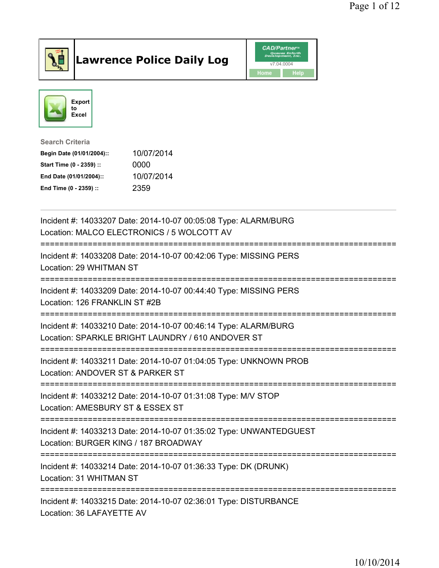

## Lawrence Police Daily Log **Daniel CAD/Partner**





Search Criteria Begin Date (01/01/2004):: 10/07/2014

| Start Time (0 - 2359) :: | 0000       |
|--------------------------|------------|
| End Date (01/01/2004)::  | 10/07/2014 |
| End Time (0 - 2359) ::   | 2359       |

| Incident #: 14033207 Date: 2014-10-07 00:05:08 Type: ALARM/BURG<br>Location: MALCO ELECTRONICS / 5 WOLCOTT AV                         |
|---------------------------------------------------------------------------------------------------------------------------------------|
| Incident #: 14033208 Date: 2014-10-07 00:42:06 Type: MISSING PERS<br>Location: 29 WHITMAN ST                                          |
| Incident #: 14033209 Date: 2014-10-07 00:44:40 Type: MISSING PERS<br>Location: 126 FRANKLIN ST #2B                                    |
| Incident #: 14033210 Date: 2014-10-07 00:46:14 Type: ALARM/BURG<br>Location: SPARKLE BRIGHT LAUNDRY / 610 ANDOVER ST                  |
| Incident #: 14033211 Date: 2014-10-07 01:04:05 Type: UNKNOWN PROB<br>Location: ANDOVER ST & PARKER ST<br>:=========================== |
| Incident #: 14033212 Date: 2014-10-07 01:31:08 Type: M/V STOP<br>Location: AMESBURY ST & ESSEX ST                                     |
| Incident #: 14033213 Date: 2014-10-07 01:35:02 Type: UNWANTEDGUEST<br>Location: BURGER KING / 187 BROADWAY                            |
| Incident #: 14033214 Date: 2014-10-07 01:36:33 Type: DK (DRUNK)<br>Location: 31 WHITMAN ST                                            |
| Incident #: 14033215 Date: 2014-10-07 02:36:01 Type: DISTURBANCE<br>Location: 36 LAFAYETTE AV                                         |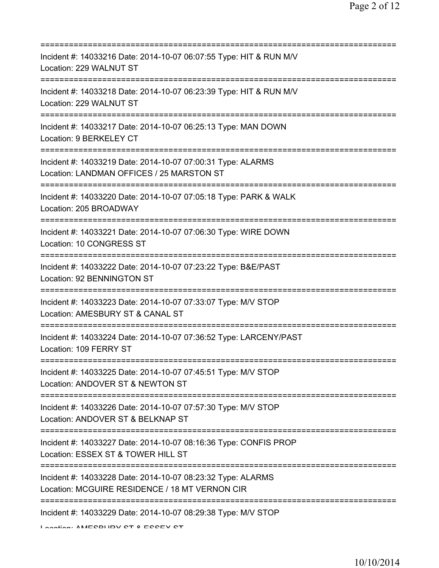| Incident #: 14033216 Date: 2014-10-07 06:07:55 Type: HIT & RUN M/V<br>Location: 229 WALNUT ST                                                          |
|--------------------------------------------------------------------------------------------------------------------------------------------------------|
| Incident #: 14033218 Date: 2014-10-07 06:23:39 Type: HIT & RUN M/V<br>Location: 229 WALNUT ST                                                          |
| Incident #: 14033217 Date: 2014-10-07 06:25:13 Type: MAN DOWN<br>Location: 9 BERKELEY CT                                                               |
| Incident #: 14033219 Date: 2014-10-07 07:00:31 Type: ALARMS<br>Location: LANDMAN OFFICES / 25 MARSTON ST                                               |
| Incident #: 14033220 Date: 2014-10-07 07:05:18 Type: PARK & WALK<br>Location: 205 BROADWAY                                                             |
| Incident #: 14033221 Date: 2014-10-07 07:06:30 Type: WIRE DOWN<br>Location: 10 CONGRESS ST                                                             |
| Incident #: 14033222 Date: 2014-10-07 07:23:22 Type: B&E/PAST<br>Location: 92 BENNINGTON ST                                                            |
| Incident #: 14033223 Date: 2014-10-07 07:33:07 Type: M/V STOP<br>Location: AMESBURY ST & CANAL ST                                                      |
| Incident #: 14033224 Date: 2014-10-07 07:36:52 Type: LARCENY/PAST<br>Location: 109 FERRY ST                                                            |
| Incident #: 14033225 Date: 2014-10-07 07:45:51 Type: M/V STOP<br>Location: ANDOVER ST & NEWTON ST                                                      |
| Incident #: 14033226 Date: 2014-10-07 07:57:30 Type: M/V STOP<br>Location: ANDOVER ST & BELKNAP ST                                                     |
| Incident #: 14033227 Date: 2014-10-07 08:16:36 Type: CONFIS PROP<br>Location: ESSEX ST & TOWER HILL ST                                                 |
| =====================================<br>Incident #: 14033228 Date: 2014-10-07 08:23:32 Type: ALARMS<br>Location: MCGUIRE RESIDENCE / 18 MT VERNON CIR |
| Incident #: 14033229 Date: 2014-10-07 08:29:38 Type: M/V STOP                                                                                          |

Location: AMECBURY CT & ECCEV CT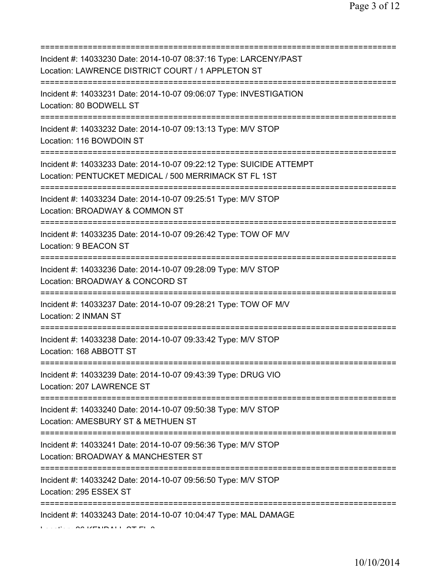| Incident #: 14033230 Date: 2014-10-07 08:37:16 Type: LARCENY/PAST<br>Location: LAWRENCE DISTRICT COURT / 1 APPLETON ST<br>====================================== |
|------------------------------------------------------------------------------------------------------------------------------------------------------------------|
| Incident #: 14033231 Date: 2014-10-07 09:06:07 Type: INVESTIGATION<br>Location: 80 BODWELL ST                                                                    |
| Incident #: 14033232 Date: 2014-10-07 09:13:13 Type: M/V STOP<br>Location: 116 BOWDOIN ST                                                                        |
| Incident #: 14033233 Date: 2014-10-07 09:22:12 Type: SUICIDE ATTEMPT<br>Location: PENTUCKET MEDICAL / 500 MERRIMACK ST FL 1ST                                    |
| Incident #: 14033234 Date: 2014-10-07 09:25:51 Type: M/V STOP<br>Location: BROADWAY & COMMON ST                                                                  |
| Incident #: 14033235 Date: 2014-10-07 09:26:42 Type: TOW OF M/V<br>Location: 9 BEACON ST<br>===============================                                      |
| Incident #: 14033236 Date: 2014-10-07 09:28:09 Type: M/V STOP<br>Location: BROADWAY & CONCORD ST                                                                 |
| Incident #: 14033237 Date: 2014-10-07 09:28:21 Type: TOW OF M/V<br>Location: 2 INMAN ST                                                                          |
| Incident #: 14033238 Date: 2014-10-07 09:33:42 Type: M/V STOP<br>Location: 168 ABBOTT ST                                                                         |
| Incident #: 14033239 Date: 2014-10-07 09:43:39 Type: DRUG VIO<br>Location: 207 LAWRENCE ST                                                                       |
| Incident #: 14033240 Date: 2014-10-07 09:50:38 Type: M/V STOP<br>Location: AMESBURY ST & METHUEN ST                                                              |
| Incident #: 14033241 Date: 2014-10-07 09:56:36 Type: M/V STOP<br>Location: BROADWAY & MANCHESTER ST                                                              |
| =========================<br>Incident #: 14033242 Date: 2014-10-07 09:56:50 Type: M/V STOP<br>Location: 295 ESSEX ST                                             |
| Incident #: 14033243 Date: 2014-10-07 10:04:47 Type: MAL DAMAGE                                                                                                  |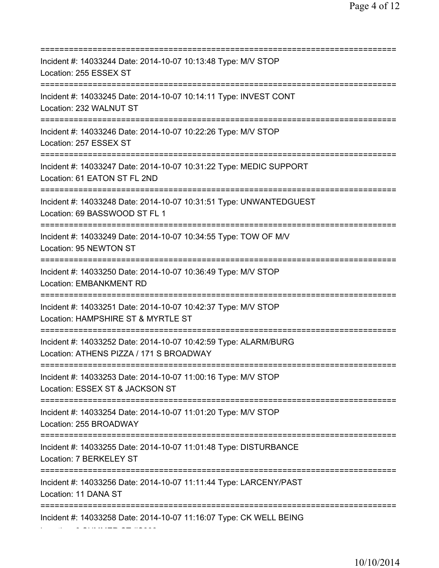=========================================================================== Incident #: 14033244 Date: 2014-10-07 10:13:48 Type: M/V STOP Location: 255 ESSEX ST =========================================================================== Incident #: 14033245 Date: 2014-10-07 10:14:11 Type: INVEST CONT Location: 232 WALNUT ST =========================================================================== Incident #: 14033246 Date: 2014-10-07 10:22:26 Type: M/V STOP Location: 257 ESSEX ST =========================================================================== Incident #: 14033247 Date: 2014-10-07 10:31:22 Type: MEDIC SUPPORT Location: 61 EATON ST FL 2ND =========================================================================== Incident #: 14033248 Date: 2014-10-07 10:31:51 Type: UNWANTEDGUEST Location: 69 BASSWOOD ST FL 1 =========================================================================== Incident #: 14033249 Date: 2014-10-07 10:34:55 Type: TOW OF M/V Location: 95 NEWTON ST =========================================================================== Incident #: 14033250 Date: 2014-10-07 10:36:49 Type: M/V STOP Location: EMBANKMENT RD =========================================================================== Incident #: 14033251 Date: 2014-10-07 10:42:37 Type: M/V STOP Location: HAMPSHIRE ST & MYRTLE ST =========================================================================== Incident #: 14033252 Date: 2014-10-07 10:42:59 Type: ALARM/BURG Location: ATHENS PIZZA / 171 S BROADWAY =========================================================================== Incident #: 14033253 Date: 2014-10-07 11:00:16 Type: M/V STOP Location: ESSEX ST & JACKSON ST =========================================================================== Incident #: 14033254 Date: 2014-10-07 11:01:20 Type: M/V STOP Location: 255 BROADWAY =========================================================================== Incident #: 14033255 Date: 2014-10-07 11:01:48 Type: DISTURBANCE Location: 7 BERKELEY ST =========================================================================== Incident #: 14033256 Date: 2014-10-07 11:11:44 Type: LARCENY/PAST Location: 11 DANA ST =========================================================================== Incident #: 14033258 Date: 2014-10-07 11:16:07 Type: CK WELL BEING

Location: 9 SUMMER ST #S308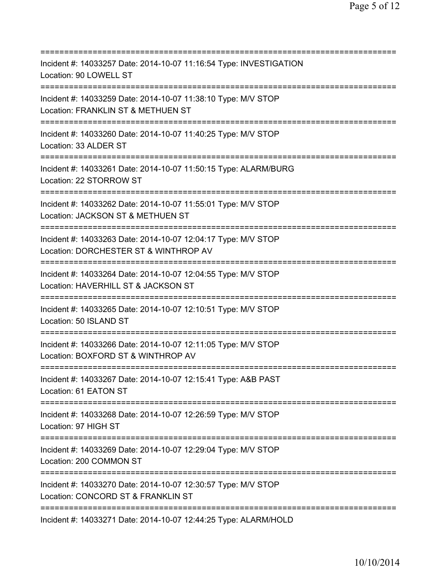| ==========================                                                                                                                   |
|----------------------------------------------------------------------------------------------------------------------------------------------|
| Incident #: 14033257 Date: 2014-10-07 11:16:54 Type: INVESTIGATION<br>Location: 90 LOWELL ST                                                 |
| Incident #: 14033259 Date: 2014-10-07 11:38:10 Type: M/V STOP<br>Location: FRANKLIN ST & METHUEN ST                                          |
| Incident #: 14033260 Date: 2014-10-07 11:40:25 Type: M/V STOP<br>Location: 33 ALDER ST                                                       |
| Incident #: 14033261 Date: 2014-10-07 11:50:15 Type: ALARM/BURG<br>Location: 22 STORROW ST                                                   |
| Incident #: 14033262 Date: 2014-10-07 11:55:01 Type: M/V STOP<br>Location: JACKSON ST & METHUEN ST                                           |
| Incident #: 14033263 Date: 2014-10-07 12:04:17 Type: M/V STOP<br>Location: DORCHESTER ST & WINTHROP AV<br>================================== |
| Incident #: 14033264 Date: 2014-10-07 12:04:55 Type: M/V STOP<br>Location: HAVERHILL ST & JACKSON ST                                         |
| Incident #: 14033265 Date: 2014-10-07 12:10:51 Type: M/V STOP<br>Location: 50 ISLAND ST                                                      |
| Incident #: 14033266 Date: 2014-10-07 12:11:05 Type: M/V STOP<br>Location: BOXFORD ST & WINTHROP AV                                          |
| Incident #: 14033267 Date: 2014-10-07 12:15:41 Type: A&B PAST<br>Location: 61 EATON ST                                                       |
| Incident #: 14033268 Date: 2014-10-07 12:26:59 Type: M/V STOP<br>Location: 97 HIGH ST                                                        |
| Incident #: 14033269 Date: 2014-10-07 12:29:04 Type: M/V STOP<br>Location: 200 COMMON ST<br>====================================             |
| Incident #: 14033270 Date: 2014-10-07 12:30:57 Type: M/V STOP<br>Location: CONCORD ST & FRANKLIN ST<br>==============                        |
| Incident #: 14033271 Date: 2014-10-07 12:44:25 Type: ALARM/HOLD                                                                              |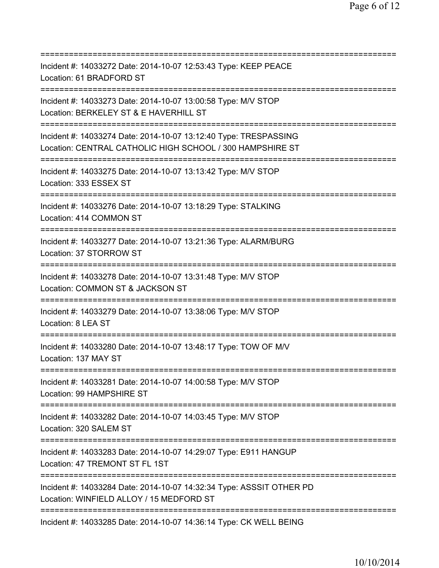| Incident #: 14033272 Date: 2014-10-07 12:53:43 Type: KEEP PEACE<br>Location: 61 BRADFORD ST                                                   |
|-----------------------------------------------------------------------------------------------------------------------------------------------|
| Incident #: 14033273 Date: 2014-10-07 13:00:58 Type: M/V STOP<br>Location: BERKELEY ST & E HAVERHILL ST                                       |
| Incident #: 14033274 Date: 2014-10-07 13:12:40 Type: TRESPASSING<br>Location: CENTRAL CATHOLIC HIGH SCHOOL / 300 HAMPSHIRE ST                 |
| Incident #: 14033275 Date: 2014-10-07 13:13:42 Type: M/V STOP<br>Location: 333 ESSEX ST                                                       |
| Incident #: 14033276 Date: 2014-10-07 13:18:29 Type: STALKING<br>Location: 414 COMMON ST                                                      |
| Incident #: 14033277 Date: 2014-10-07 13:21:36 Type: ALARM/BURG<br>Location: 37 STORROW ST<br>=================================               |
| Incident #: 14033278 Date: 2014-10-07 13:31:48 Type: M/V STOP<br>Location: COMMON ST & JACKSON ST<br>=======================<br>============= |
| Incident #: 14033279 Date: 2014-10-07 13:38:06 Type: M/V STOP<br>Location: 8 LEA ST                                                           |
| Incident #: 14033280 Date: 2014-10-07 13:48:17 Type: TOW OF M/V<br>Location: 137 MAY ST                                                       |
| Incident #: 14033281 Date: 2014-10-07 14:00:58 Type: M/V STOP<br>Location: 99 HAMPSHIRE ST                                                    |
| Incident #: 14033282 Date: 2014-10-07 14:03:45 Type: M/V STOP<br>Location: 320 SALEM ST                                                       |
| Incident #: 14033283 Date: 2014-10-07 14:29:07 Type: E911 HANGUP<br>Location: 47 TREMONT ST FL 1ST                                            |
| Incident #: 14033284 Date: 2014-10-07 14:32:34 Type: ASSSIT OTHER PD<br>Location: WINFIELD ALLOY / 15 MEDFORD ST                              |
| Incident #: 14033285 Date: 2014-10-07 14:36:14 Type: CK WELL BEING                                                                            |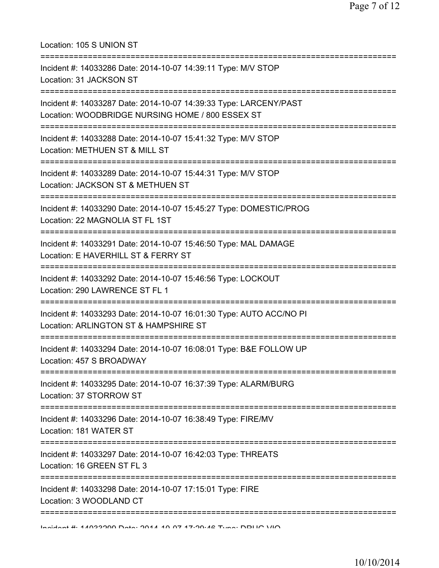| Location: 105 S UNION ST                                                                                                          |
|-----------------------------------------------------------------------------------------------------------------------------------|
| Incident #: 14033286 Date: 2014-10-07 14:39:11 Type: M/V STOP<br>Location: 31 JACKSON ST                                          |
| Incident #: 14033287 Date: 2014-10-07 14:39:33 Type: LARCENY/PAST<br>Location: WOODBRIDGE NURSING HOME / 800 ESSEX ST             |
| Incident #: 14033288 Date: 2014-10-07 15:41:32 Type: M/V STOP<br>Location: METHUEN ST & MILL ST<br>============================== |
| Incident #: 14033289 Date: 2014-10-07 15:44:31 Type: M/V STOP<br>Location: JACKSON ST & METHUEN ST                                |
| Incident #: 14033290 Date: 2014-10-07 15:45:27 Type: DOMESTIC/PROG<br>Location: 22 MAGNOLIA ST FL 1ST                             |
| Incident #: 14033291 Date: 2014-10-07 15:46:50 Type: MAL DAMAGE<br>Location: E HAVERHILL ST & FERRY ST                            |
| Incident #: 14033292 Date: 2014-10-07 15:46:56 Type: LOCKOUT<br>Location: 290 LAWRENCE ST FL 1                                    |
| Incident #: 14033293 Date: 2014-10-07 16:01:30 Type: AUTO ACC/NO PI<br>Location: ARLINGTON ST & HAMPSHIRE ST                      |
| Incident #: 14033294 Date: 2014-10-07 16:08:01 Type: B&E FOLLOW UP<br>Location: 457 S BROADWAY                                    |
| Incident #: 14033295 Date: 2014-10-07 16:37:39 Type: ALARM/BURG<br>Location: 37 STORROW ST                                        |
| =========================<br>Incident #: 14033296 Date: 2014-10-07 16:38:49 Type: FIRE/MV<br>Location: 181 WATER ST               |
| Incident #: 14033297 Date: 2014-10-07 16:42:03 Type: THREATS<br>Location: 16 GREEN ST FL 3                                        |
| Incident #: 14033298 Date: 2014-10-07 17:15:01 Type: FIRE<br>Location: 3 WOODLAND CT                                              |
|                                                                                                                                   |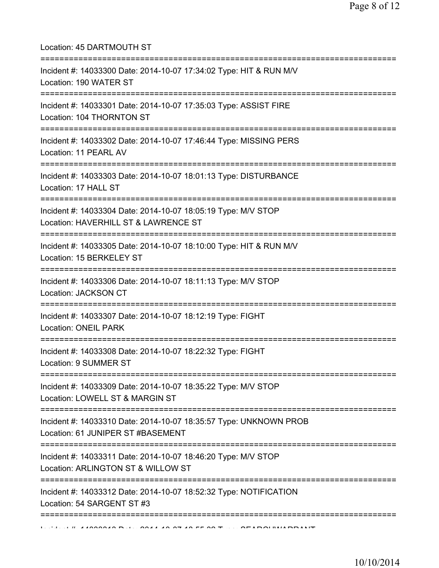Location: 45 DARTMOUTH ST =========================================================================== Incident #: 14033300 Date: 2014-10-07 17:34:02 Type: HIT & RUN M/V Location: 190 WATER ST =========================================================================== Incident #: 14033301 Date: 2014-10-07 17:35:03 Type: ASSIST FIRE Location: 104 THORNTON ST =========================================================================== Incident #: 14033302 Date: 2014-10-07 17:46:44 Type: MISSING PERS Location: 11 PEARL AV =========================================================================== Incident #: 14033303 Date: 2014-10-07 18:01:13 Type: DISTURBANCE Location: 17 HALL ST =========================================================================== Incident #: 14033304 Date: 2014-10-07 18:05:19 Type: M/V STOP Location: HAVERHILL ST & LAWRENCE ST =========================================================================== Incident #: 14033305 Date: 2014-10-07 18:10:00 Type: HIT & RUN M/V Location: 15 BERKELEY ST =========================================================================== Incident #: 14033306 Date: 2014-10-07 18:11:13 Type: M/V STOP Location: JACKSON CT =========================================================================== Incident #: 14033307 Date: 2014-10-07 18:12:19 Type: FIGHT Location: ONEIL PARK =========================================================================== Incident #: 14033308 Date: 2014-10-07 18:22:32 Type: FIGHT Location: 9 SUMMER ST =========================================================================== Incident #: 14033309 Date: 2014-10-07 18:35:22 Type: M/V STOP Location: LOWELL ST & MARGIN ST =========================================================================== Incident #: 14033310 Date: 2014-10-07 18:35:57 Type: UNKNOWN PROB Location: 61 JUNIPER ST #BASEMENT =========================================================================== Incident #: 14033311 Date: 2014-10-07 18:46:20 Type: M/V STOP Location: ARLINGTON ST & WILLOW ST =========================================================================== Incident #: 14033312 Date: 2014-10-07 18:52:32 Type: NOTIFICATION Location: 54 SARGENT ST #3 ===========================================================================  $11.41000049 \text{ D} \cdot \text{L}$ : 2014 10 07 10 55:30 Type: SEARCHWARRANT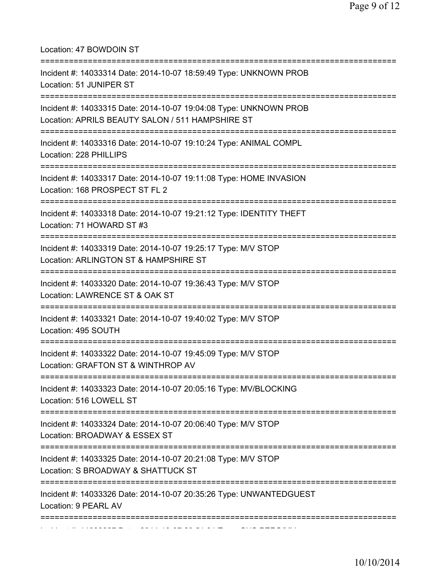Location: 47 BOWDOIN ST =========================================================================== Incident #: 14033314 Date: 2014-10-07 18:59:49 Type: UNKNOWN PROB Location: 51 JUNIPER ST =========================================================================== Incident #: 14033315 Date: 2014-10-07 19:04:08 Type: UNKNOWN PROB Location: APRILS BEAUTY SALON / 511 HAMPSHIRE ST =========================================================================== Incident #: 14033316 Date: 2014-10-07 19:10:24 Type: ANIMAL COMPL Location: 228 PHILLIPS =========================================================================== Incident #: 14033317 Date: 2014-10-07 19:11:08 Type: HOME INVASION Location: 168 PROSPECT ST FL 2 =========================================================================== Incident #: 14033318 Date: 2014-10-07 19:21:12 Type: IDENTITY THEFT Location: 71 HOWARD ST #3 =========================================================================== Incident #: 14033319 Date: 2014-10-07 19:25:17 Type: M/V STOP Location: ARLINGTON ST & HAMPSHIRE ST =========================================================================== Incident #: 14033320 Date: 2014-10-07 19:36:43 Type: M/V STOP Location: LAWRENCE ST & OAK ST =========================================================================== Incident #: 14033321 Date: 2014-10-07 19:40:02 Type: M/V STOP Location: 495 SOUTH =========================================================================== Incident #: 14033322 Date: 2014-10-07 19:45:09 Type: M/V STOP Location: GRAFTON ST & WINTHROP AV =========================================================================== Incident #: 14033323 Date: 2014-10-07 20:05:16 Type: MV/BLOCKING Location: 516 LOWELL ST =========================================================================== Incident #: 14033324 Date: 2014-10-07 20:06:40 Type: M/V STOP Location: BROADWAY & ESSEX ST =========================================================================== Incident #: 14033325 Date: 2014-10-07 20:21:08 Type: M/V STOP Location: S BROADWAY & SHATTUCK ST =========================================================================== Incident #: 14033326 Date: 2014-10-07 20:35:26 Type: UNWANTEDGUEST Location: 9 PEARL AV =========================================================================== Incident #: 14033327 Date: 2014 10 07 20:51:01 Type: SUS PERS/MV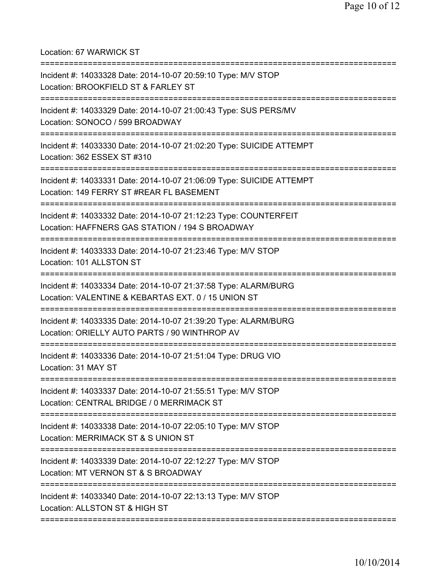Location: 67 WARWICK ST

| Incident #: 14033328 Date: 2014-10-07 20:59:10 Type: M/V STOP<br>Location: BROOKFIELD ST & FARLEY ST<br>============================ |
|--------------------------------------------------------------------------------------------------------------------------------------|
| Incident #: 14033329 Date: 2014-10-07 21:00:43 Type: SUS PERS/MV<br>Location: SONOCO / 599 BROADWAY                                  |
| Incident #: 14033330 Date: 2014-10-07 21:02:20 Type: SUICIDE ATTEMPT<br>Location: 362 ESSEX ST #310                                  |
| Incident #: 14033331 Date: 2014-10-07 21:06:09 Type: SUICIDE ATTEMPT<br>Location: 149 FERRY ST #REAR FL BASEMENT                     |
| Incident #: 14033332 Date: 2014-10-07 21:12:23 Type: COUNTERFEIT<br>Location: HAFFNERS GAS STATION / 194 S BROADWAY                  |
| Incident #: 14033333 Date: 2014-10-07 21:23:46 Type: M/V STOP<br>Location: 101 ALLSTON ST                                            |
| Incident #: 14033334 Date: 2014-10-07 21:37:58 Type: ALARM/BURG<br>Location: VALENTINE & KEBARTAS EXT. 0 / 15 UNION ST               |
| Incident #: 14033335 Date: 2014-10-07 21:39:20 Type: ALARM/BURG<br>Location: ORIELLY AUTO PARTS / 90 WINTHROP AV                     |
| Incident #: 14033336 Date: 2014-10-07 21:51:04 Type: DRUG VIO<br>Location: 31 MAY ST                                                 |
| Incident #: 14033337 Date: 2014-10-07 21:55:51 Type: M/V STOP<br>Location: CENTRAL BRIDGE / 0 MERRIMACK ST                           |
| Incident #: 14033338 Date: 2014-10-07 22:05:10 Type: M/V STOP<br>Location: MERRIMACK ST & S UNION ST                                 |
| Incident #: 14033339 Date: 2014-10-07 22:12:27 Type: M/V STOP<br>Location: MT VERNON ST & S BROADWAY                                 |
| Incident #: 14033340 Date: 2014-10-07 22:13:13 Type: M/V STOP<br>Location: ALLSTON ST & HIGH ST                                      |
|                                                                                                                                      |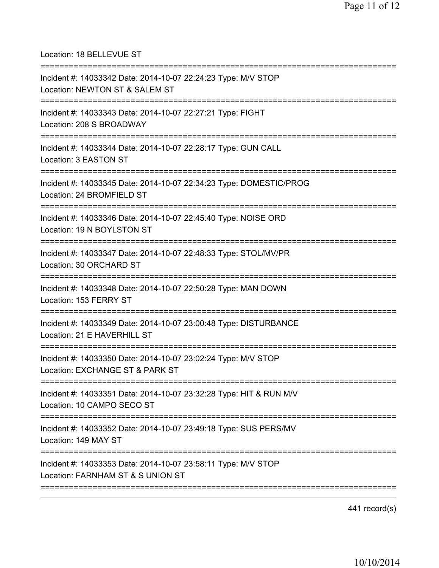| Location: 18 BELLEVUE ST<br>====================================                                                                         |
|------------------------------------------------------------------------------------------------------------------------------------------|
| Incident #: 14033342 Date: 2014-10-07 22:24:23 Type: M/V STOP<br>Location: NEWTON ST & SALEM ST                                          |
| Incident #: 14033343 Date: 2014-10-07 22:27:21 Type: FIGHT<br>Location: 208 S BROADWAY<br>======================================         |
| Incident #: 14033344 Date: 2014-10-07 22:28:17 Type: GUN CALL<br>Location: 3 EASTON ST                                                   |
| Incident #: 14033345 Date: 2014-10-07 22:34:23 Type: DOMESTIC/PROG<br>Location: 24 BROMFIELD ST                                          |
| =============================<br>Incident #: 14033346 Date: 2014-10-07 22:45:40 Type: NOISE ORD<br>Location: 19 N BOYLSTON ST            |
| -===================================<br>Incident #: 14033347 Date: 2014-10-07 22:48:33 Type: STOL/MV/PR<br>Location: 30 ORCHARD ST       |
| Incident #: 14033348 Date: 2014-10-07 22:50:28 Type: MAN DOWN<br>Location: 153 FERRY ST                                                  |
| =====================================<br>Incident #: 14033349 Date: 2014-10-07 23:00:48 Type: DISTURBANCE<br>Location: 21 E HAVERHILL ST |
| Incident #: 14033350 Date: 2014-10-07 23:02:24 Type: M/V STOP<br>Location: EXCHANGE ST & PARK ST                                         |
| Incident #: 14033351 Date: 2014-10-07 23:32:28 Type: HIT & RUN M/V<br>Location: 10 CAMPO SECO ST                                         |
| Incident #: 14033352 Date: 2014-10-07 23:49:18 Type: SUS PERS/MV<br>Location: 149 MAY ST                                                 |
| Incident #: 14033353 Date: 2014-10-07 23:58:11 Type: M/V STOP<br>Location: FARNHAM ST & S UNION ST                                       |
|                                                                                                                                          |

441 record(s)